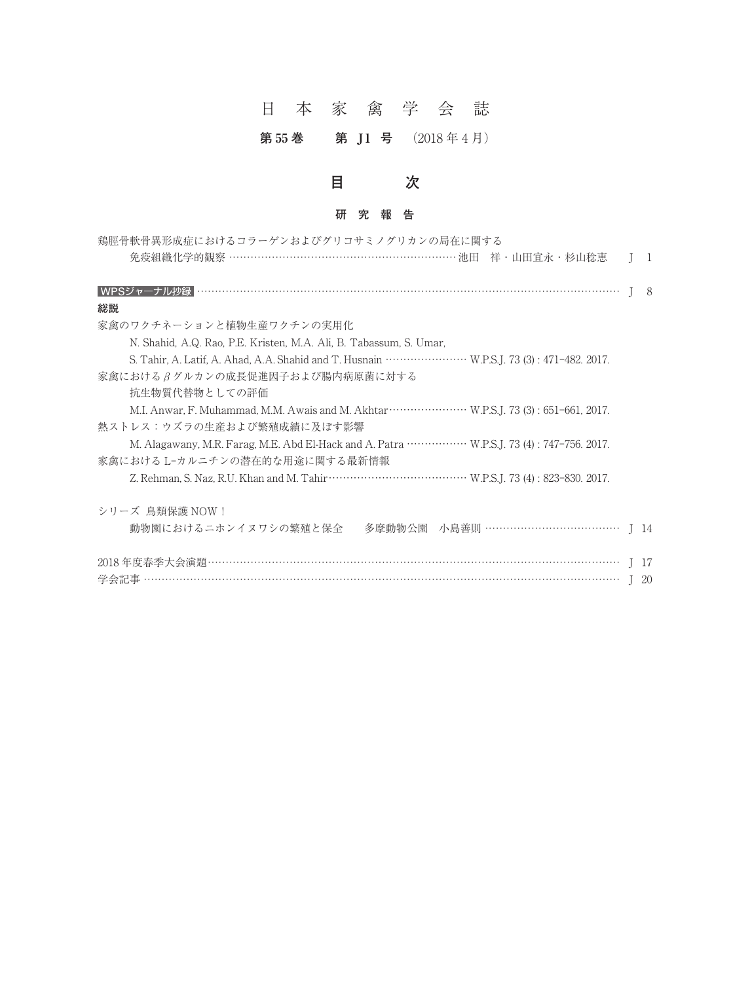# 日本家禽学会誌

## **第 55 巻 第 J 1 号** (2018 年 4 月)

# **目 次**

## **研究報告**

| 鶏脛骨軟骨異形成症におけるコラーゲンおよびグリコサミノグリカンの局在に関する                                                                        |                |
|---------------------------------------------------------------------------------------------------------------|----------------|
| 免疫組織化学的観察 ……………………………………………………… 池田 祥 · 山田宜永 · 杉山稔恵                                                            | $\overline{1}$ |
|                                                                                                               | -8             |
| 総説                                                                                                            |                |
| 家禽のワクチネーションと植物生産ワクチンの実用化                                                                                      |                |
| N. Shahid, A.Q. Rao, P.E. Kristen, M.A. Ali, B. Tabassum, S. Umar,                                            |                |
|                                                                                                               |                |
| 家禽におけるβグルカンの成長促進因子および腸内病原菌に対する                                                                                |                |
| 抗生物質代替物としての評価                                                                                                 |                |
|                                                                                                               |                |
| 熱ストレス:ウズラの生産および繁殖成績に及ぼす影響                                                                                     |                |
| M. Alagawany, M.R. Farag, M.E. Abd El-Hack and A. Patra ····················· W.P.S.J. 73 (4): 747-756. 2017. |                |
| 家禽における L-カルニチンの潜在的な用途に関する最新情報                                                                                 |                |
|                                                                                                               |                |
| シリーズ 鳥類保護 NOW!                                                                                                |                |
| 動物園におけるニホンイヌワシの繁殖と保全<br>多摩動物公園 小島善則 ………………………………… J 14                                                        |                |
|                                                                                                               | - 17           |
|                                                                                                               |                |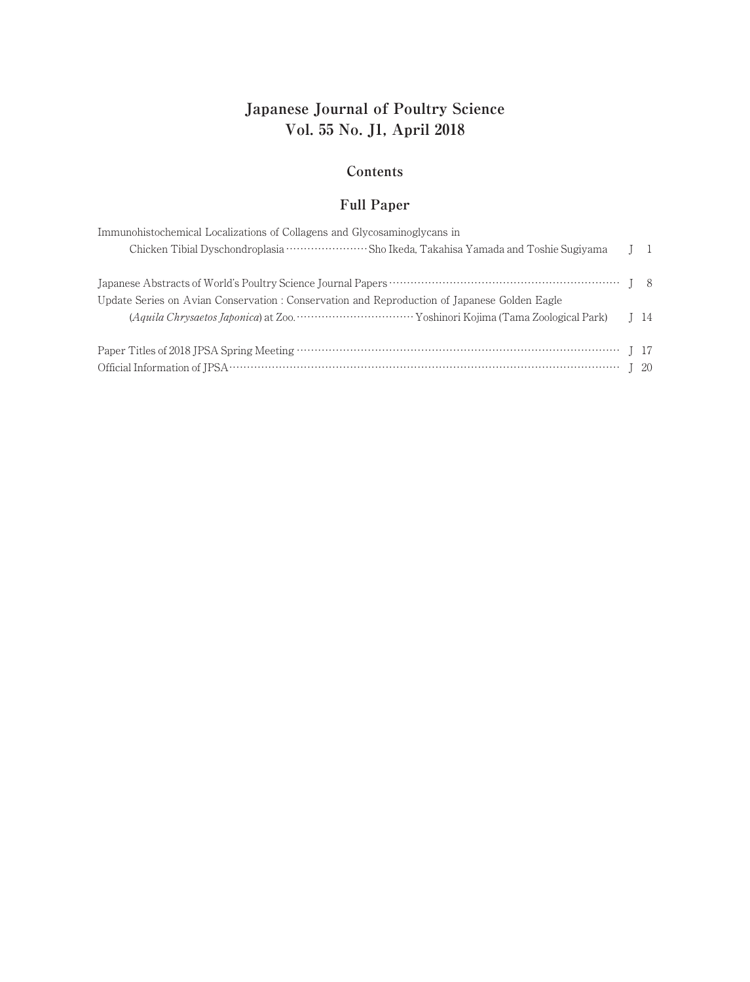# **Japanese Journal of Poultry Science Vol. 55 No. J1, April 2018**

#### **Contents**

## **Full Paper**

| Immunohistochemical Localizations of Collagens and Glycosaminoglycans in<br>Chicken Tibial Dyschondroplasia ··························Sho Ikeda, Takahisa Yamada and Toshie Sugiyama | $1\quad$ |
|--------------------------------------------------------------------------------------------------------------------------------------------------------------------------------------|----------|
| Update Series on Avian Conservation : Conservation and Reproduction of Japanese Golden Eagle                                                                                         |          |
|                                                                                                                                                                                      |          |
|                                                                                                                                                                                      |          |
|                                                                                                                                                                                      |          |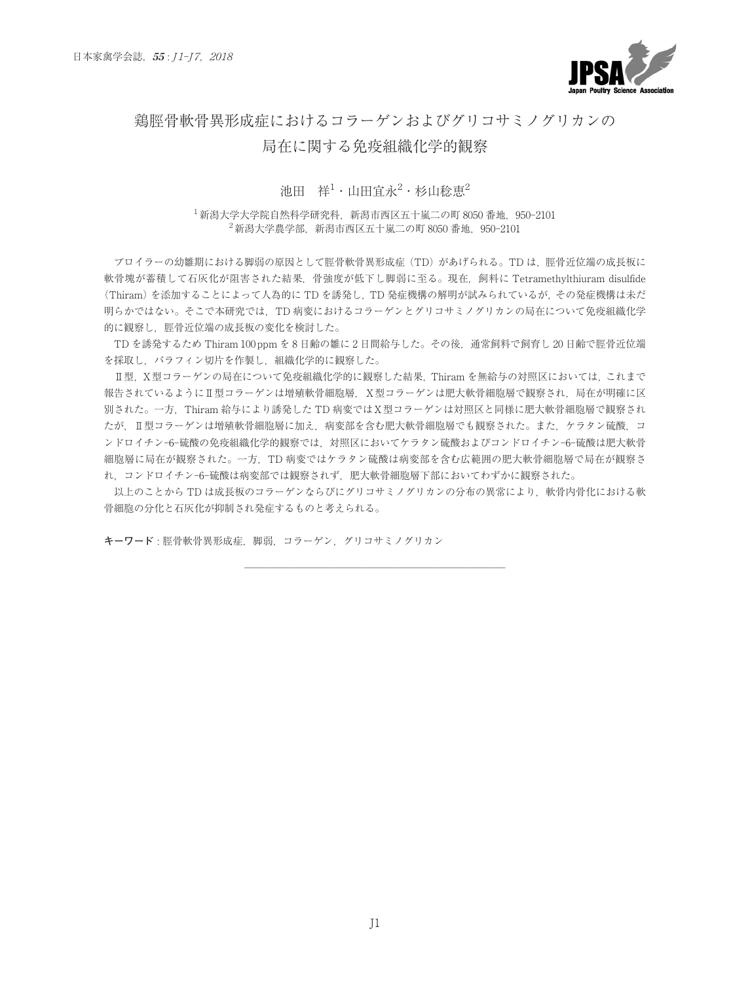

## 鶏脛骨軟骨異形成症におけるコラーゲンおよびグリコサミノグリカンの

#### 局在に関する免疫組織化学的観察

#### 池田 祥<sup>1</sup>・山田官永<sup>2</sup>・杉山稔恵<sup>2</sup>

1新潟大学大学院自然科学研究科,新潟市西区五十嵐二の町 8050 番地,950-2101  $2\frac{2}{\pi}$ 新潟大学農学部, 新潟市西区五十嵐二の町 8050 番地, 950-2101

ブロイラーの幼雛期における脚弱の原因として脛骨軟骨異形成症(TD)があげられる。TD は、脛骨近位端の成長板に 軟骨塊が蓄積して石灰化が阻害された結果,骨強度が低下し脚弱に至る。現在,飼料に Tetramethylthiuram disulfide (Thiram)を添加することによって人為的に TD を誘発し,TD 発症機構の解明が試みられているが,その発症機構は未だ 明らかではない。そこで本研究では,TD 病変におけるコラーゲンとグリコサミノグリカンの局在について免疫組織化学 的に観察し,脛骨近位端の成長板の変化を検討した。

TD を誘発するため Thiram 100 ppm を 8 日齢の雛に 2 日間給与した。その後,通常飼料で飼育し 20 日齢で脛骨近位端 を採取し、パラフィン切片を作製し、組織化学的に観察した。

Ⅱ型,Ⅹ型コラーゲンの局在について免疫組織化学的に観察した結果,Thiram を無給与の対照区においては,これまで 報告されているようにⅡ型コラーゲンは増殖軟骨細胞層,Ⅹ型コラーゲンは肥大軟骨細胞層で観察され,局在が明確に区 別された。一方,Thiram 給与により誘発した TD 病変ではⅩ型コラーゲンは対照区と同様に肥大軟骨細胞層で観察され たが,Ⅱ型コラーゲンは増殖軟骨細胞層に加え,病変部を含む肥大軟骨細胞層でも観察された。また,ケラタン硫酸,コ ンドロイチン-6-硫酸の免疫組織化学的観察では,対照区においてケラタン硫酸およびコンドロイチン-6-硫酸は肥大軟骨 細胞層に局在が観察された。一方,TD 病変ではケラタン硫酸は病変部を含む広範囲の肥大軟骨細胞層で局在が観察さ れ,コンドロイチン-6-硫酸は病変部では観察されず,肥大軟骨細胞層下部においてわずかに観察された。

以上のことから TD は成長板のコラーゲンならびにグリコサミノグリカンの分布の異常により、軟骨内骨化における軟 骨細胞の分化と石灰化が抑制され発症するものと考えられる。

──────────────────────────

**キーワード** : 脛骨軟骨異形成症,脚弱,コラーゲン,グリコサミノグリカン